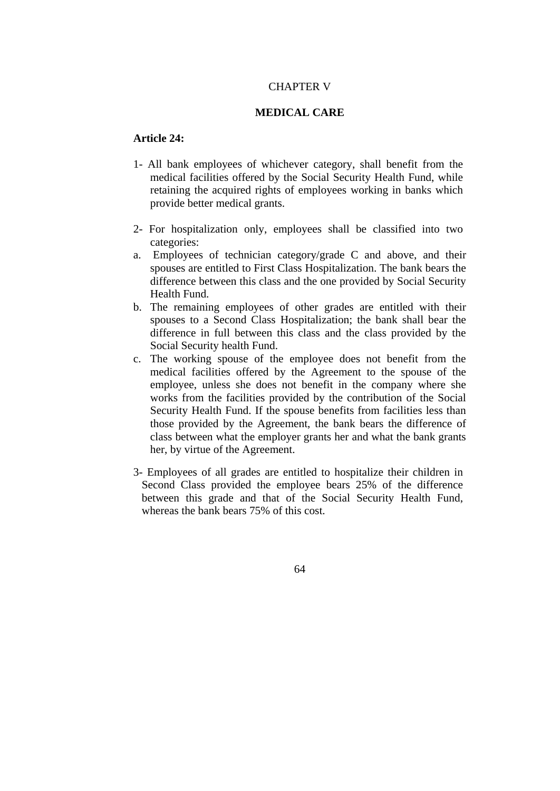## CHAPTER V

## **MEDICAL CARE**

## **Article 24:**

- 1- All bank employees of whichever category, shall benefit from the medical facilities offered by the Social Security Health Fund, while retaining the acquired rights of employees working in banks which provide better medical grants.
- 2- For hospitalization only, employees shall be classified into two categories:
- a. Employees of technician category/grade C and above, and their spouses are entitled to First Class Hospitalization. The bank bears the difference between this class and the one provided by Social Security Health Fund.
- b. The remaining employees of other grades are entitled with their spouses to a Second Class Hospitalization; the bank shall bear the difference in full between this class and the class provided by the Social Security health Fund.
- c. The working spouse of the employee does not benefit from the medical facilities offered by the Agreement to the spouse of the employee, unless she does not benefit in the company where she works from the facilities provided by the contribution of the Social Security Health Fund. If the spouse benefits from facilities less than those provided by the Agreement, the bank bears the difference of class between what the employer grants her and what the bank grants her, by virtue of the Agreement.
- 3- Employees of all grades are entitled to hospitalize their children in Second Class provided the employee bears 25% of the difference between this grade and that of the Social Security Health Fund, whereas the bank bears 75% of this cost.

64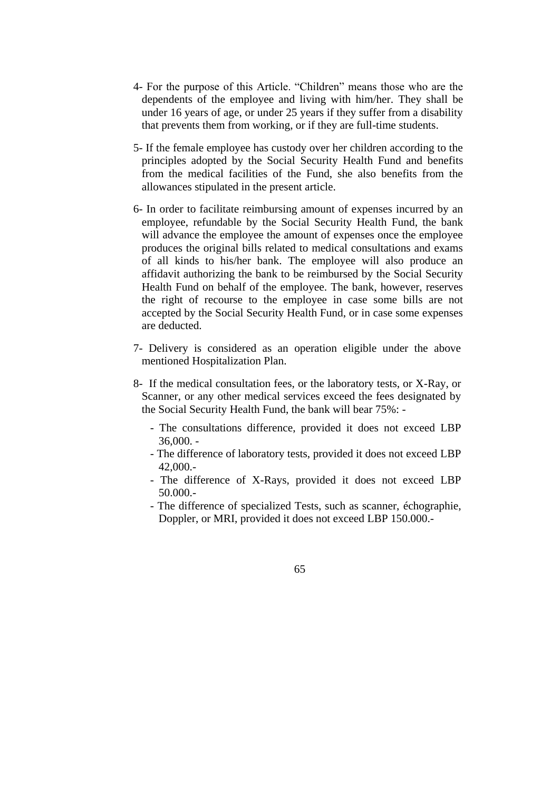- 4- For the purpose of this Article. "Children" means those who are the dependents of the employee and living with him/her. They shall be under 16 years of age, or under 25 years if they suffer from a disability that prevents them from working, or if they are full-time students.
- 5- If the female employee has custody over her children according to the principles adopted by the Social Security Health Fund and benefits from the medical facilities of the Fund, she also benefits from the allowances stipulated in the present article.
- 6- In order to facilitate reimbursing amount of expenses incurred by an employee, refundable by the Social Security Health Fund, the bank will advance the employee the amount of expenses once the employee produces the original bills related to medical consultations and exams of all kinds to his/her bank. The employee will also produce an affidavit authorizing the bank to be reimbursed by the Social Security Health Fund on behalf of the employee. The bank, however, reserves the right of recourse to the employee in case some bills are not accepted by the Social Security Health Fund, or in case some expenses are deducted.
- 7- Delivery is considered as an operation eligible under the above mentioned Hospitalization Plan.
- 8- If the medical consultation fees, or the laboratory tests, or X-Ray, or Scanner, or any other medical services exceed the fees designated by the Social Security Health Fund, the bank will bear 75%: -
	- The consultations difference, provided it does not exceed LBP 36,000. -
	- The difference of laboratory tests, provided it does not exceed LBP 42,000.-
	- The difference of X-Rays, provided it does not exceed LBP 50.000.-
	- The difference of specialized Tests, such as scanner, échographie, Doppler, or MRI, provided it does not exceed LBP 150.000.-

65